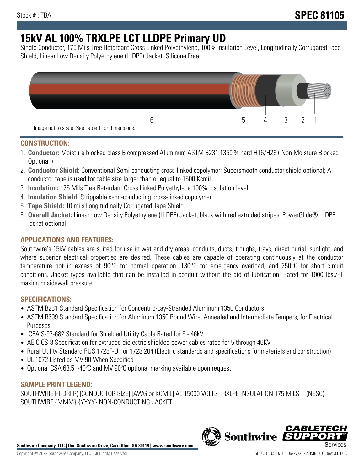# **15kV AL 100% TRXLPE LCT LLDPE Primary UD**

Single Conductor, 175 Mils Tree Retardant Cross Linked Polyethylene, 100% Insulation Level, Longitudinally Corrugated Tape Shield, Linear Low Density Polyethylene (LLDPE) Jacket. Silicone Free



## **CONSTRUCTION:**

- 1. **Conductor:** Moisture blocked class B compressed Aluminum ASTM B231 1350 ¾ hard H16/H26 ( Non Moisture Blocked Optional )
- 2. **Conductor Shield:** Conventional Semi-conducting cross-linked copolymer; Supersmooth conductor shield optional; A conductor tape is used for cable size larger than or equal to 1500 Kcmil
- 3. **Insulation:** 175 Mils Tree Retardant Cross Linked Polyethylene 100% insulation level
- 4. **Insulation Shield:** Strippable semi-conducting cross-linked copolymer
- 5. **Tape Shield:** 10 mils Longitudinally Corrugated Tape Shield
- 6. **Overall Jacket:** Linear Low Density Polyethylene (LLDPE) Jacket, black with red extruded stripes; PowerGlide® LLDPE jacket optional

# **APPLICATIONS AND FEATURES:**

Southwire's 15kV cables are suited for use in wet and dry areas, conduits, ducts, troughs, trays, direct burial, sunlight, and where superior electrical properties are desired. These cables are capable of operating continuously at the conductor temperature not in excess of 90°C for normal operation. 130°C for emergency overload, and 250°C for short circuit conditions. Jacket types available that can be installed in conduit without the aid of lubrication. Rated for 1000 lbs./FT maximum sidewall pressure.

## **SPECIFICATIONS:**

- ASTM B231 Standard Specification for Concentric-Lay-Stranded Aluminum 1350 Conductors
- ASTM B609 Standard Specification for Aluminum 1350 Round Wire, Annealed and Intermediate Tempers, for Electrical Purposes
- ICEA S-97-682 Standard for Shielded Utility Cable Rated for 5 46kV
- AEIC CS-8 Specification for extruded dielectric shielded power cables rated for 5 through 46KV
- Rural Utility Standard RUS 1728F-U1 or 1728.204 (Electric standards and specifications for materials and construction)
- UL 1072 Listed as MV 90 When Specified
- Optional CSA 68.5: -40ºC and MV 90ºC optional marking available upon request

## **SAMPLE PRINT LEGEND:**

SOUTHWIRE HI-DRI(R) [CONDUCTOR SIZE] [AWG or KCMIL] AL 15000 VOLTS TRXLPE INSULATION 175 MILS -- (NESC) -- SOUTHWIRE {MMM} {YYYY} NON-CONDUCTING JACKET

**Southwire Company, LLC | One Southwire Drive, Carrollton, GA 30119 | www.southwire.com**